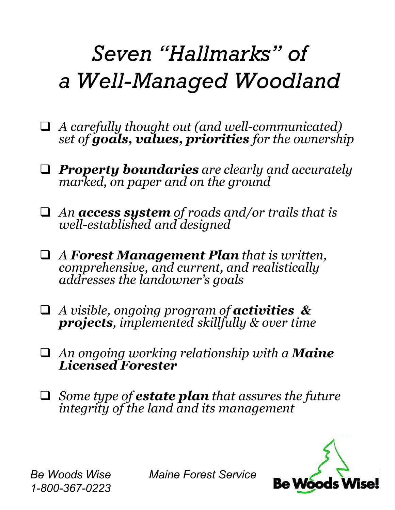## *Seven Hallmarks of a Well-Managed Woodland*

- q *A carefully thought out (and well-communicated) set of goals, values, priorities for the ownership*
- q *Property boundaries are clearly and accurately marked, on paper and on the ground*
- q *An access system of roads and/or trails that is well-established and designed*
- q *A Forest Management Plan that is written, comprehensive, and current, and realistically addresses the landowners goals*
- q *A visible, ongoing program of activities & projects, implemented skillfully & over time*
- q *An ongoing working relationship with a Maine Licensed Forester*
- q *Some type of estate plan that assures the future integrity of the land and its management*



*1-800-367-0223*

*Be Woods Wise Maine Forest Service*